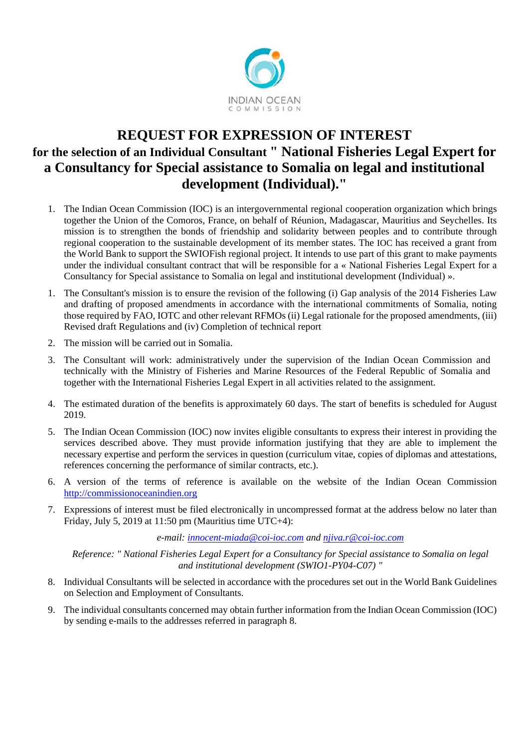

# **REQUEST FOR EXPRESSION OF INTEREST for the selection of an Individual Consultant " National Fisheries Legal Expert for a Consultancy for Special assistance to Somalia on legal and institutional development (Individual)."**

- 1. The Indian Ocean Commission (IOC) is an intergovernmental regional cooperation organization which brings together the Union of the Comoros, France, on behalf of Réunion, Madagascar, Mauritius and Seychelles. Its mission is to strengthen the bonds of friendship and solidarity between peoples and to contribute through regional cooperation to the sustainable development of its member states. The IOC has received a grant from the World Bank to support the SWIOFish regional project. It intends to use part of this grant to make payments under the individual consultant contract that will be responsible for a « National Fisheries Legal Expert for a Consultancy for Special assistance to Somalia on legal and institutional development (Individual) ».
- 1. The Consultant's mission is to ensure the revision of the following (i) Gap analysis of the 2014 Fisheries Law and drafting of proposed amendments in accordance with the international commitments of Somalia, noting those required by FAO, IOTC and other relevant RFMOs (ii) Legal rationale for the proposed amendments, (iii) Revised draft Regulations and (iv) Completion of technical report
- 2. The mission will be carried out in Somalia.
- 3. The Consultant will work: administratively under the supervision of the Indian Ocean Commission and technically with the Ministry of Fisheries and Marine Resources of the Federal Republic of Somalia and together with the International Fisheries Legal Expert in all activities related to the assignment.
- 4. The estimated duration of the benefits is approximately 60 days. The start of benefits is scheduled for August 2019.
- 5. The Indian Ocean Commission (IOC) now invites eligible consultants to express their interest in providing the services described above. They must provide information justifying that they are able to implement the necessary expertise and perform the services in question (curriculum vitae, copies of diplomas and attestations, references concerning the performance of similar contracts, etc.).
- 6. A version of the terms of reference is available on the website of the Indian Ocean Commission http://commissionoceanindien.org
- 7. Expressions of interest must be filed electronically in uncompressed format at the address below no later than Friday, July 5, 2019 at 11:50 pm (Mauritius time UTC+4):

*e-mail: innocent-miada@coi-ioc.com and njiva.r@coi-ioc.com*

*Reference: " National Fisheries Legal Expert for a Consultancy for Special assistance to Somalia on legal and institutional development (SWIO1-PY04-C07) "*

- 8. Individual Consultants will be selected in accordance with the procedures set out in the World Bank Guidelines on Selection and Employment of Consultants.
- 9. The individual consultants concerned may obtain further information from the Indian Ocean Commission (IOC) by sending e-mails to the addresses referred in paragraph 8.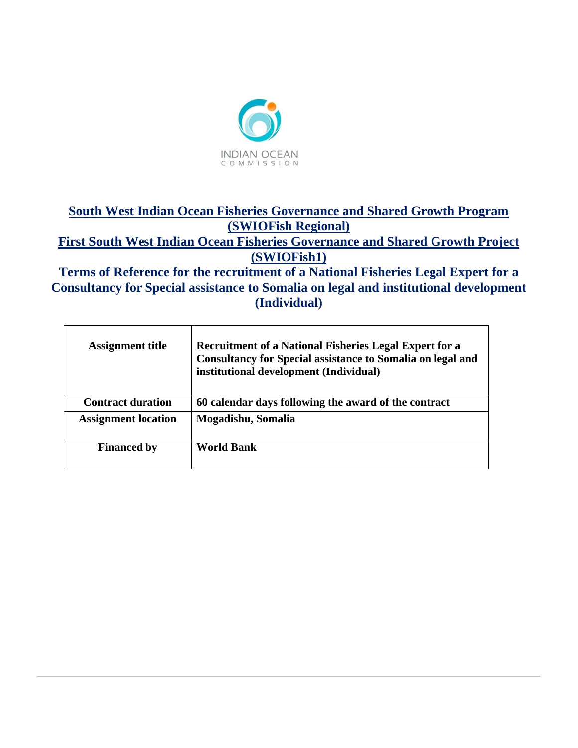

# **South West Indian Ocean Fisheries Governance and Shared Growth Program (SWIOFish Regional)**

**First South West Indian Ocean Fisheries Governance and Shared Growth Project (SWIOFish1)**

**Terms of Reference for the recruitment of a National Fisheries Legal Expert for a Consultancy for Special assistance to Somalia on legal and institutional development (Individual)**

| <b>Assignment title</b>    | <b>Recruitment of a National Fisheries Legal Expert for a</b><br><b>Consultancy for Special assistance to Somalia on legal and</b><br>institutional development (Individual) |
|----------------------------|------------------------------------------------------------------------------------------------------------------------------------------------------------------------------|
| <b>Contract duration</b>   | 60 calendar days following the award of the contract                                                                                                                         |
| <b>Assignment location</b> | Mogadishu, Somalia                                                                                                                                                           |
| <b>Financed by</b>         | <b>World Bank</b>                                                                                                                                                            |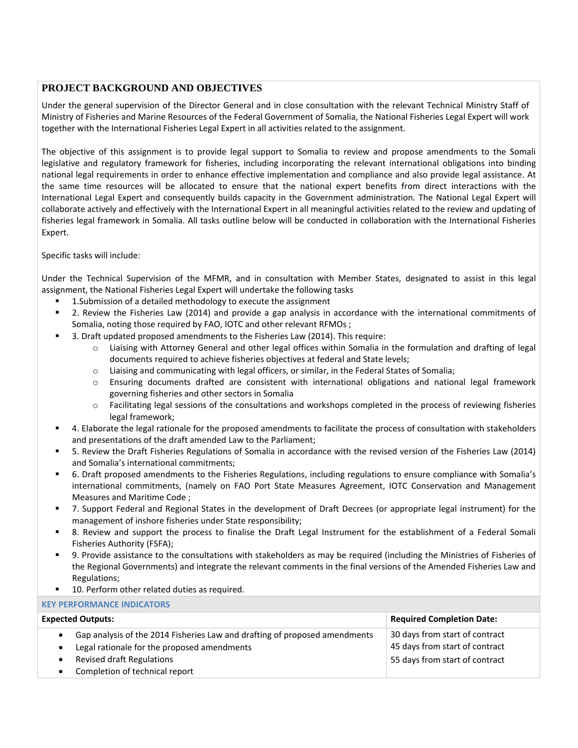### **PROJECT BACKGROUND AND OBJECTIVES**

Under the general supervision of the Director General and in close consultation with the relevant Technical Ministry Staff of Ministry of Fisheries and Marine Resources of the Federal Government of Somalia, the National Fisheries Legal Expert will work together with the International Fisheries Legal Expert in all activities related to the assignment.

The objective of this assignment is to provide legal support to Somalia to review and propose amendments to the Somali legislative and regulatory framework for fisheries, including incorporating the relevant international obligations into binding national legal requirements in order to enhance effective implementation and compliance and also provide legal assistance. At the same time resources will be allocated to ensure that the national expert benefits from direct interactions with the International Legal Expert and consequently builds capacity in the Government administration. The National Legal Expert will collaborate actively and effectively with the International Expert in all meaningful activities related to the review and updating of fisheries legal framework in Somalia. All tasks outline below will be conducted in collaboration with the International Fisheries Expert.

Specific tasks will include:

Under the Technical Supervision of the MFMR, and in consultation with Member States, designated to assist in this legal assignment, the National Fisheries Legal Expert will undertake the following tasks

- 1. Submission of a detailed methodology to execute the assignment
- 2. Review the Fisheries Law (2014) and provide a gap analysis in accordance with the international commitments of Somalia, noting those required by FAO, IOTC and other relevant RFMOs ;
- 3. Draft updated proposed amendments to the Fisheries Law (2014). This require:
	- o Liaising with Attorney General and other legal offices within Somalia in the formulation and drafting of legal documents required to achieve fisheries objectives at federal and State levels;
	- o Liaising and communicating with legal officers, or similar, in the Federal States of Somalia;
	- o Ensuring documents drafted are consistent with international obligations and national legal framework governing fisheries and other sectors in Somalia
	- o Facilitating legal sessions of the consultations and workshops completed in the process of reviewing fisheries legal framework;
- 4. Elaborate the legal rationale for the proposed amendments to facilitate the process of consultation with stakeholders and presentations of the draft amended Law to the Parliament;
- 5. Review the Draft Fisheries Regulations of Somalia in accordance with the revised version of the Fisheries Law (2014) and Somalia's international commitments;
- 6. Draft proposed amendments to the Fisheries Regulations, including regulations to ensure compliance with Somalia's international commitments, (namely on FAO Port State Measures Agreement, IOTC Conservation and Management Measures and Maritime Code ;
- 7. Support Federal and Regional States in the development of Draft Decrees (or appropriate legal instrument) for the management of inshore fisheries under State responsibility;
- 8. Review and support the process to finalise the Draft Legal Instrument for the establishment of a Federal Somali Fisheries Authority (FSFA);
- 9. Provide assistance to the consultations with stakeholders as may be required (including the Ministries of Fisheries of the Regional Governments) and integrate the relevant comments in the final versions of the Amended Fisheries Law and Regulations;
- 10. Perform other related duties as required.

**KEY PERFORMANCE INDICATORS**

| <b>NET PENFUNIVIAIVLE IIVDICATUNS</b>                                                                                                  |                                                                  |  |
|----------------------------------------------------------------------------------------------------------------------------------------|------------------------------------------------------------------|--|
| <b>Expected Outputs:</b>                                                                                                               | <b>Required Completion Date:</b>                                 |  |
| Gap analysis of the 2014 Fisheries Law and drafting of proposed amendments<br>$\bullet$<br>Legal rationale for the proposed amendments | 30 days from start of contract<br>45 days from start of contract |  |
| <b>Revised draft Regulations</b><br>Completion of technical report                                                                     | 55 days from start of contract                                   |  |